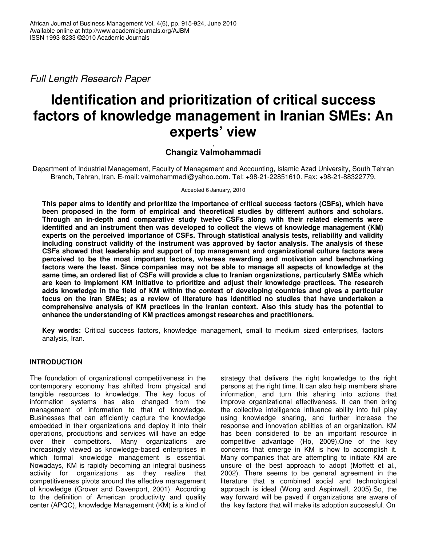*Full Length Research Paper*

# **Identification and prioritization of critical success factors of knowledge management in Iranian SMEs: An experts' view**

## , **Changiz Valmohammadi**

Department of Industrial Management, Faculty of Management and Accounting, Islamic Azad University, South Tehran Branch, Tehran, Iran. E-mail: valmohammadi@yahoo.com. Tel: +98-21-22851610. Fax: +98-21-88322779.

Accepted 6 January, 2010

**This paper aims to identify and prioritize the importance of critical success factors (CSFs), which have been proposed in the form of empirical and theoretical studies by different authors and scholars. Through an in-depth and comparative study twelve CSFs along with their related elements were identified and an instrument then was developed to collect the views of knowledge management (KM) experts on the perceived importance of CSFs. Through statistical analysis tests, reliability and validity including construct validity of the instrument was approved by factor analysis. The analysis of these CSFs showed that leadership and support of top management and organizational culture factors were perceived to be the most important factors, whereas rewarding and motivation and benchmarking factors were the least. Since companies may not be able to manage all aspects of knowledge at the same time, an ordered list of CSFs will provide a clue to Iranian organizations, particularly SMEs which are keen to implement KM initiative to prioritize and adjust their knowledge practices. The research adds knowledge in the field of KM within the context of developing countries and gives a particular focus on the Iran SMEs; as a review of literature has identified no studies that have undertaken a comprehensive analysis of KM practices in the Iranian context. Also this study has the potential to enhance the understanding of KM practices amongst researches and practitioners.**

**Key words:** Critical success factors, knowledge management, small to medium sized enterprises, factors analysis, Iran.

# **INTRODUCTION**

The foundation of organizational competitiveness in the contemporary economy has shifted from physical and tangible resources to knowledge. The key focus of information systems has also changed from the management of information to that of knowledge. Businesses that can efficiently capture the knowledge embedded in their organizations and deploy it into their operations, productions and services will have an edge over their competitors. Many organizations are increasingly viewed as knowledge-based enterprises in which formal knowledge management is essential. Nowadays, KM is rapidly becoming an integral business activity for organizations as they realize that competitiveness pivots around the effective management of knowledge (Grover and Davenport, 2001). According to the definition of American productivity and quality center (APQC), knowledge Management (KM) is a kind of

strategy that delivers the right knowledge to the right persons at the right time. It can also help members share information, and turn this sharing into actions that improve organizational effectiveness. It can then bring the collective intelligence influence ability into full play using knowledge sharing, and further increase the response and innovation abilities of an organization. KM has been considered to be an important resource in competitive advantage (Ho, 2009).One of the key concerns that emerge in KM is how to accomplish it. Many companies that are attempting to initiate KM are unsure of the best approach to adopt (Moffett et al., 2002). There seems to be general agreement in the literature that a combined social and technological approach is ideal (Wong and Aspinwall, 2005).So, the way forward will be paved if organizations are aware of the key factors that will make its adoption successful. On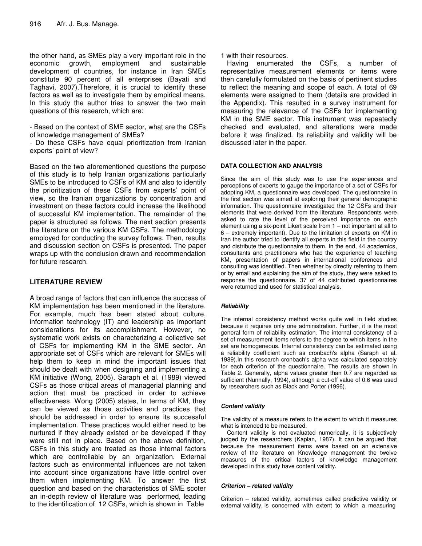the other hand, as SMEs play a very important role in the economic growth, employment and sustainable development of countries, for instance in Iran SMEs constitute 90 percent of all enterprises (Bayati and Taghavi, 2007).Therefore, it is crucial to identify these factors as well as to investigate them by empirical means. In this study the author tries to answer the two main questions of this research, which are:

- Based on the context of SME sector, what are the CSFs of knowledge management of SMEs?

- Do these CSFs have equal prioritization from Iranian experts' point of view?

Based on the two aforementioned questions the purpose of this study is to help Iranian organizations particularly SMEs to be introduced to CSFs of KM and also to identify the prioritization of these CSFs from experts' point of view, so the Iranian organizations by concentration and investment on these factors could increase the likelihood of successful KM implementation. The remainder of the paper is structured as follows. The next section presents the literature on the various KM CSFs. The methodology employed for conducting the survey follows. Then, results and discussion section on CSFs is presented. The paper wraps up with the conclusion drawn and recommendation for future research.

# **LITERATURE REVIEW**

A broad range of factors that can influence the success of KM implementation has been mentioned in the literature. For example, much has been stated about culture, information technology (IT) and leadership as important considerations for its accomplishment. However, no systematic work exists on characterizing a collective set of CSFs for implementing KM in the SME sector. An appropriate set of CSFs which are relevant for SMEs will help them to keep in mind the important issues that should be dealt with when designing and implementing a KM initiative (Wong, 2005). Saraph et al. (1989) viewed CSFs as those critical areas of managerial planning and action that must be practiced in order to achieve effectiveness. Wong (2005) states, In terms of KM, they can be viewed as those activities and practices that should be addressed in order to ensure its successful implementation. These practices would either need to be nurtured if they already existed or be developed if they were still not in place. Based on the above definition, CSFs in this study are treated as those internal factors which are controllable by an organization. External factors such as environmental influences are not taken into account since organizations have little control over them when implementing KM. To answer the first question and based on the characteristics of SME scoter an in-depth review of literature was performed, leading to the identification of 12 CSFs, which is shown in Table

1 with their resources.

Having enumerated the CSFs, a number of representative measurement elements or items were then carefully formulated on the basis of pertinent studies to reflect the meaning and scope of each. A total of 69 elements were assigned to them (details are provided in the Appendix). This resulted in a survey instrument for measuring the relevance of the CSFs for implementing KM in the SME sector. This instrument was repeatedly checked and evaluated, and alterations were made before it was finalized. Its reliability and validity will be discussed later in the paper.

#### **DATA COLLECTION AND ANALYSIS**

Since the aim of this study was to use the experiences and perceptions of experts to gauge the importance of a set of CSFs for adopting KM, a questionnaire was developed. The questionnaire in the first section was aimed at exploring their general demographic information. The questionnaire investigated the 12 CSFs and their elements that were derived from the literature. Respondents were asked to rate the level of the perceived importance on each element using a six-point Likert scale from 1 – not important at all to 6 – extremely important). Due to the limitation of experts on KM in Iran the author tried to identify all experts in this field in the country and distribute the questionnaire to them. In the end, 44 academics, consultants and practitioners who had the experience of teaching KM, presentation of papers in international conferences and consulting was identified. Then whether by directly referring to them or by email and explaining the aim of the study, they were asked to response the questionnaire. 37 of 44 distributed questionnaires were returned and used for statistical analysis.

## *Reliability*

The internal consistency method works quite well in field studies because it requires only one administration. Further, it is the most general form of reliability estimation. The internal consistency of a set of measurement items refers to the degree to which items in the set are homogeneous. Internal consistency can be estimated using a reliability coefficient such as cronbach's alpha (Saraph et al. 1989).In this research cronbach's alpha was calculated separately for each criterion of the questionnaire. The results are shown in Table 2. Generally, alpha values greater than 0.7 are regarded as sufficient (Nunnally, 1994), although a cut-off value of 0.6 was used by researchers such as Black and Porter (1996).

#### *Content validity*

The validity of a measure refers to the extent to which it measures what is intended to be measured.

Content validity is not evaluated numerically, it is subjectively judged by the researchers (Kaplan, 1987). It can be argued that because the measurement items were based on an extensive review of the literature on Knowledge management the twelve measures of the critical factors of knowledge management developed in this study have content validity.

#### *Criterion – related validity*

Criterion – related validity, sometimes called predictive validity or external validity, is concerned with extent to which a measuring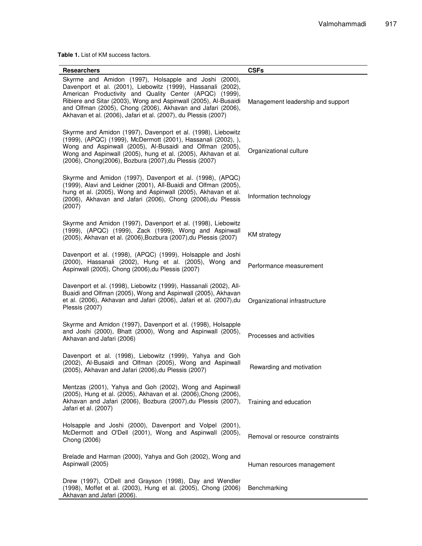**Table 1.** List of KM success factors.

| Researchers                                                                                                                                                                                                                                                                                                                                                                          | <b>CSFs</b>                       |
|--------------------------------------------------------------------------------------------------------------------------------------------------------------------------------------------------------------------------------------------------------------------------------------------------------------------------------------------------------------------------------------|-----------------------------------|
| Skyrme and Amidon (1997), Holsapple and Joshi (2000),<br>Davenport et al. (2001), Liebowitz (1999), Hassanali (2002),<br>American Productivity and Quality Center (APQC) (1999),<br>Ribiere and Sitar (2003), Wong and Aspinwall (2005), Al-Busaidi<br>and Olfman (2005), Chong (2006), Akhavan and Jafari (2006),<br>Akhavan et al. (2006), Jafari et al. (2007), du Plessis (2007) | Management leadership and support |
| Skyrme and Amidon (1997), Davenport et al. (1998), Liebowitz<br>(1999), (APQC) (1999), McDermott (2001), Hassanali (2002), ),<br>Wong and Aspinwall (2005), Al-Busaidi and Olfman (2005),<br>Wong and Aspinwall (2005), hung et al. (2005), Akhavan et al.<br>(2006), Chong(2006), Bozbura (2007), du Plessis (2007)                                                                 | Organizational culture            |
| Skyrme and Amidon (1997), Davenport et al. (1998), (APQC)<br>(1999), Alavi and Leidner (2001), All-Buaidi and Olfman (2005),<br>hung et al. (2005), Wong and Aspinwall (2005), Akhavan et al.<br>(2006), Akhavan and Jafari (2006), Chong (2006), du Plessis<br>(2007)                                                                                                               | Information technology            |
| Skyrme and Amidon (1997), Davenport et al. (1998), Liebowitz<br>(1999), (APQC) (1999), Zack (1999), Wong and Aspinwall<br>(2005), Akhavan et al. (2006), Bozbura (2007), du Plessis (2007)                                                                                                                                                                                           | <b>KM</b> strategy                |
| Davenport et al. (1998), (APQC) (1999), Holsapple and Joshi<br>(2000), Hassanali (2002), Hung et al. (2005), Wong and<br>Aspinwall (2005), Chong (2006), du Plessis (2007)                                                                                                                                                                                                           | Performance measurement           |
| Davenport et al. (1998), Liebowitz (1999), Hassanali (2002), All-<br>Buaidi and Olfman (2005), Wong and Aspinwall (2005), Akhavan<br>et al. (2006), Akhavan and Jafari (2006), Jafari et al. (2007), du<br>Plessis (2007)                                                                                                                                                            | Organizational infrastructure     |
| Skyrme and Amidon (1997), Davenport et al. (1998), Holsapple<br>and Joshi (2000), Bhatt (2000), Wong and Aspinwall (2005),<br>Akhavan and Jafari (2006)                                                                                                                                                                                                                              | Processes and activities          |
| Davenport et al. (1998), Liebowitz (1999), Yahya and Goh<br>(2002), Al-Busaidi and Olfman (2005), Wong and Aspinwall<br>(2005), Akhavan and Jafari (2006), du Plessis (2007)                                                                                                                                                                                                         | Rewarding and motivation          |
| Mentzas (2001), Yahya and Goh (2002), Wong and Aspinwall<br>(2005), Hung et al. (2005), Akhavan et al. (2006), Chong (2006),<br>Akhavan and Jafari (2006), Bozbura (2007), du Plessis (2007),<br>Jafari et al. (2007)                                                                                                                                                                | Training and education            |
| Holsapple and Joshi (2000), Davenport and Volpel (2001),<br>McDermott and O'Dell (2001), Wong and Aspinwall (2005),<br>Chong (2006)                                                                                                                                                                                                                                                  | Removal or resource constraints   |
| Brelade and Harman (2000), Yahya and Goh (2002), Wong and<br>Aspinwall (2005)                                                                                                                                                                                                                                                                                                        | Human resources management        |
| Drew (1997), O'Dell and Grayson (1998), Day and Wendler<br>(1998), Moffet et al. (2003), Hung et al. (2005), Chong (2006)<br>Akhavan and Jafari (2006).                                                                                                                                                                                                                              | Benchmarking                      |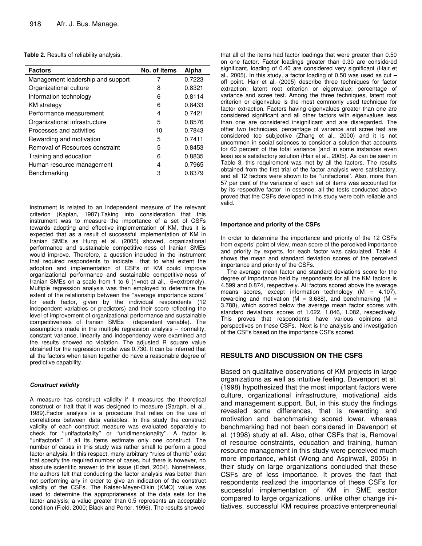#### **Table 2.** Results of reliability analysis.

| <b>Factors</b>                    | No. of items | Alpha  |
|-----------------------------------|--------------|--------|
| Management leadership and support | 7            | 0.7223 |
| Organizational culture            | 8            | 0.8321 |
| Information technology            | 6            | 0.8114 |
| <b>KM</b> strategy                | 6            | 0.8433 |
| Performance measurement           | 4            | 0.7421 |
| Organizational infrastructure     | 5            | 0.8576 |
| Processes and activities          | 10           | 0.7843 |
| Rewarding and motivation          | 5            | 0.7411 |
| Removal of Resources constraint   | 5            | 0.8453 |
| Training and education            | հ            | 0.8835 |
| Human resource management         | 4            | 0.7965 |
| Benchmarking                      | З            | 0.8379 |

instrument is related to an independent measure of the relevant criterion (Kaplan, 1987).Taking into consideration that this instrument was to measure the importance of a set of CSFs towards adopting and effective implementation of KM, thus it is expected that as a result of successful implementation of KM in Iranian SMEs as Hung et al. (2005) showed, organizational performance and sustainable competitive-ness of Iranian SMEs would improve. Therefore, a question included in the instrument that required respondents to indicate that to what extent the adoption and implementation of CSFs of KM could improve organizational performance and sustainable competitive-ness of Iranian SMEs on a scale from 1 to 6 (1=not at all, 6=extremely). Multiple regression analysis was then employed to determine the extent of the relationship between the ''average importance score'' for each factor, given by the individual respondents (12 independent variables or predictors) and their score reflecting the level of improvement of organizational performance and sustainable competitiveness of Iranian SMEs (dependent variable). The assumptions made in the multiple regression analysis – normality, constant variance, linearity and independency were examined and the results showed no violation. The adjusted R square value obtained for the regression model was 0.730. It can be inferred that all the factors when taken together do have a reasonable degree of predictive capability.

#### *Construct validity*

A measure has construct validity if it measures the theoretical construct or trait that it was designed to measure (Saraph, et al., 1989).Factor analysis is a procedure that relies on the use of correlations between data variables. In this study the construct validity of each construct measure was evaluated separately to check for ''unifactoriality'' or ''unidimensionality''. A factor is "unifactorial" if all its items estimate only one construct. The number of cases in this study was rather small to perform a good factor analysis. In this respect, many arbitrary ''rules of thumb'' exist that specify the required number of cases, but there is however, no absolute scientific answer to this issue (Edari, 2004). Nonetheless, the authors felt that conducting the factor analysis was better than not performing any in order to give an indication of the construct validity of the CSFs. The Kaiser-Meyer-Olkin (KMO) value was used to determine the appropriateness of the data sets for the factor analysis; a value greater than 0.5 represents an acceptable condition (Field, 2000; Black and Porter, 1996). The results showed

that all of the items had factor loadings that were greater than 0.50 on one factor. Factor loadings greater than 0.30 are considered significant, loading of 0.40 are considered very significant (Hair et al., 2005). In this study, a factor loading of 0.50 was used as  $cut$ off point. Hair et al. (2005) describe three techniques for factor extraction: latent root criterion or eigenvalue; percentage of variance and scree test. Among the three techniques, latent root criterion or eigenvalue is the most commonly used technique for factor extraction. Factors having eigenvalues greater than one are considered significant and all other factors with eigenvalues less than one are considered insignificant and are disregarded. The other two techniques, percentage of variance and scree test are considered too subjective (Zhang et al., 2000) and it is not uncommon in social sciences to consider a solution that accounts for 60 percent of the total variance (and in some instances even less) as a satisfactory solution (Hair et al., 2005). As can be seen in Table 3, this requirement was met by all the factors. The results obtained from the first trial of the factor analysis were satisfactory, and all 12 factors were shown to be ''unifactorial'. Also, more than 57 per cent of the variance of each set of items was accounted for by its respective factor. In essence, all the tests conducted above proved that the CSFs developed in this study were both reliable and valid.

#### **Importance and priority of the CSFs**

In order to determine the importance and priority of the 12 CSFs from experts' point of view, mean score of the perceived importance and priority by experts, for each factor was calculated. Table 4 shows the mean and standard deviation scores of the perceived importance and priority of the CSFs.

The average mean factor and standard deviations score for the degree of importance held by respondents for all the KM factors is 4.599 and 0.874, respectively. All factors scored above the average means scores, except information technology  $(M = 4.107)$ , rewarding and motivation ( $M = 3.688$ ), and benchmarking ( $M =$ 3.788), which scored below the average mean factor scores with standard deviations scores of 1.022, 1.046, 1.082, respectively. This proves that respondents have various opinions and perspectives on these CSFs. Next is the analysis and investigation of the CSFs based on the importance CSFs scored.

#### **RESULTS AND DISCUSSION ON THE CSFS**

Based on qualitative observations of KM projects in large organizations as well as intuitive feeling, Davenport et al. (1998) hypothesized that the most important factors were culture, organizational infrastructure, motivational aids and management support. But, in this study the findings revealed some differences, that is rewarding and motivation and benchmarking scored lower, whereas benchmarking had not been considered in Davenport et al. (1998) study at all. Also, other CSFs that is, Removal of resource constraints, education and training, human resource management in this study were perceived much more importance, whilst (Wong and Aspinwall, 2005) in their study on large organizations concluded that these CSFs are of less importance. It proves the fact that respondents realized the importance of these CSFs for successful implementation of KM in SME sector compared to large organizations. unlike other change initiatives, successful KM requires proactive enterpreneurial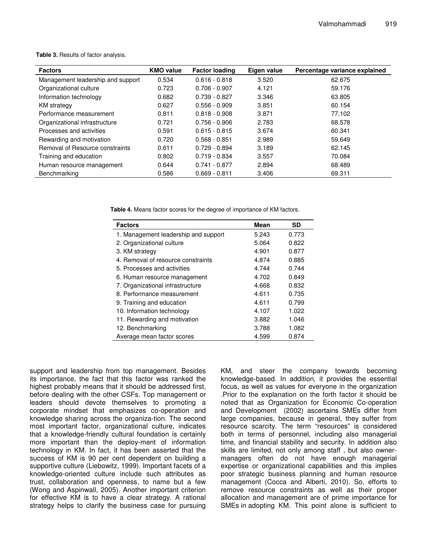| Table 3. Results of factor analysis. |  |
|--------------------------------------|--|
|--------------------------------------|--|

| <b>Factors</b>                    | <b>KMO value</b> | <b>Factor loading</b> | Eigen value | Percentage variance explained |
|-----------------------------------|------------------|-----------------------|-------------|-------------------------------|
| Management leadership and support | 0.534            | $0.616 - 0.818$       | 3.520       | 62.675                        |
| Organizational culture            | 0.723            | $0.706 - 0.907$       | 4.121       | 59.176                        |
| Information technology            | 0.682            | $0.739 - 0.827$       | 3.346       | 63.805                        |
| <b>KM</b> strategy                | 0.627            | $0.556 - 0.909$       | 3.851       | 60.154                        |
| Performance measurement           | 0.811            | $0.818 - 0.908$       | 3.871       | 77.102                        |
| Organizational infrastructure     | 0.721            | $0.756 - 0.906$       | 2.783       | 68.578                        |
| Processes and activities          | 0.591            | $0.615 - 0.815$       | 3.674       | 60.341                        |
| Rewarding and motivation          | 0.720            | $0.568 - 0.851$       | 2.989       | 59.649                        |
| Removal of Resource constraints   | 0.611            | $0.729 - 0.894$       | 3.189       | 62.145                        |
| Training and education            | 0.802            | $0.719 - 0.834$       | 3.557       | 70.084                        |
| Human resource management         | 0.644            | $0.741 - 0.877$       | 2.894       | 68.489                        |
| Benchmarking                      | 0.586            | $0.669 - 0.811$       | 3.406       | 69.311                        |

**Table 4.** Means factor scores for the degree of importance of KM factors.

| <b>Factors</b>                       | <b>Mean</b> | <b>SD</b> |
|--------------------------------------|-------------|-----------|
| 1. Management leadership and support | 5.243       | 0.773     |
| 2. Organizational culture            | 5.064       | 0.822     |
| 3. KM strategy                       | 4.901       | 0.877     |
| 4. Removal of resource constraints   | 4.874       | 0.885     |
| 5. Processes and activities          | 4.744       | 0.744     |
| 6. Human resource management         | 4.702       | 0.849     |
| 7. Organizational infrastructure     | 4.668       | 0.832     |
| 8. Performance measurement           | 4.611       | 0.735     |
| 9. Training and education            | 4.611       | 0.799     |
| 10. Information technology           | 4.107       | 1.022     |
| 11. Rewarding and motivation         | 3.882       | 1.046     |
| 12. Benchmarking                     | 3.788       | 1.082     |
| Average mean factor scores           | 4.599       | 0.874     |

support and leadership from top management. Besides its importance, the fact that this factor was ranked the highest probably means that it should be addressed first, before dealing with the other CSFs. Top management or leaders should devote themselves to promoting a corporate mindset that emphasizes co-operation and knowledge sharing across the organiza-tion. The second most important factor, organizational culture, indicates that a knowledge-friendly cultural foundation is certainly more important than the deploy-ment of information technology in KM. In fact, it has been asserted that the success of KM is 90 per cent dependent on building a supportive culture (Liebowitz, 1999). Important facets of a knowledge-oriented culture include such attributes as trust, collaboration and openness, to name but a few (Wong and Aspinwall, 2005). Another important criterion for effective KM is to have a clear strategy. A rational strategy helps to clarify the business case for pursuing

KM, and steer the company towards becoming knowledge-based. In addition, it provides the essential focus, as well as values for everyone in the organization .Prior to the explanation on the forth factor it should be noted that as Organization for Economic Co-operation and Development (2002) ascertains SMEs differ from large companies, because in general, they suffer from resource scarcity. The term "resources" is considered both in terms of personnel, including also managerial time, and financial stability and security. In addition also skills are limited, not only among staff , but also ownermanagers often do not have enough managerial expertise or organizational capabilities and this implies poor strategic business planning and human resource management (Cocca and Alberti, 2010). So, efforts to remove resource constraints as well as their proper allocation and management are of prime importance for SMEs in adopting KM. This point alone is sufficient to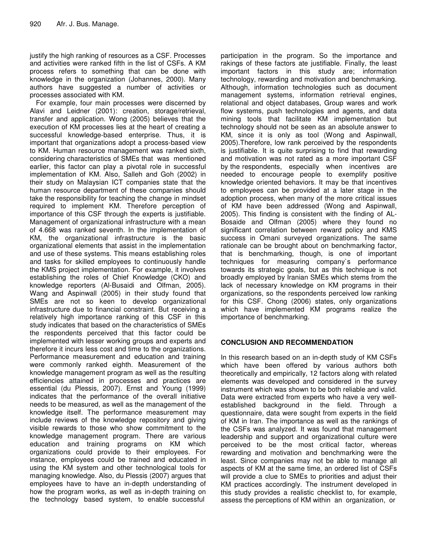justify the high ranking of resources as a CSF. Processes and activities were ranked fifth in the list of CSFs. A KM process refers to something that can be done with knowledge in the organization (Johannes, 2000). Many authors have suggested a number of activities or processes associated with KM.

For example, four main processes were discerned by Alavi and Leidner (2001): creation, storage/retrieval, transfer and application. Wong (2005) believes that the execution of KM processes lies at the heart of creating a successful knowledge-based enterprise. Thus, it is important that organizations adopt a process-based view to KM. Human resource management was ranked sixth, considering characteristics of SMEs that was mentioned earlier, this factor can play a pivotal role in successful implementation of KM. Also, Salleh and Goh (2002) in their study on Malaysian ICT companies state that the human resource department of these companies should take the responsibility for teaching the change in mindset required to implement KM. Therefore perception of importance of this CSF through the experts is justifiable. Management of organizational infrastructure with a mean of 4.668 was ranked seventh. In the implementation of KM, the organizational infrastructure is the basic organizational elements that assist in the implementation and use of these systems. This means establishing roles and tasks for skilled employees to continuously handle the KMS project implementation. For example, it involves establishing the roles of Chief Knowledge (CKO) and knowledge reporters (Al-Busaidi and Olfman, 2005). Wang and Aspinwall (2005) in their study found that SMEs are not so keen to develop organizational infrastructure due to financial constraint. But receiving a relatively high importance ranking of this CSF in this study indicates that based on the characteristics of SMEs the respondents perceived that this factor could be implemented with lesser working groups and experts and therefore it incurs less cost and time to the organizations. Performance measurement and education and training were commonly ranked eighth. Measurement of the knowledge management program as well as the resulting efficiencies attained in processes and practices are essential (du Plessis, 2007). Ernst and Young (1999) indicates that the performance of the overall initiative needs to be measured, as well as the management of the knowledge itself. The performance measurement may include reviews of the knowledge repository and giving visible rewards to those who show commitment to the knowledge management program. There are various education and training programs on KM which organizations could provide to their employees. For instance, employees could be trained and educated in using the KM system and other technological tools for managing knowledge. Also, du Plessis (2007) argues that employees have to have an in-depth understanding of how the program works, as well as in-depth training on the technology based system, to enable successful

participation in the program. So the importance and rakings of these factors ate justifiable. Finally, the least important factors in this study are; information technology, rewarding and motivation and benchmarking. Although, information technologies such as document management systems, information retrieval engines, relational and object databases, Group wares and work flow systems, push technologies and agents, and data mining tools that facilitate KM implementation but technology should not be seen as an absolute answer to KM, since it is only as tool (Wong and Aspinwall, 2005).Therefore, low rank perceived by the respondents is justifiable. It is quite surprising to find that rewarding and motivation was not rated as a more important CSF by the respondents, especially when incentives are needed to encourage people to exemplify positive knowledge oriented behaviors. It may be that incentives to employees can be provided at a later stage in the adoption process, when many of the more critical issues of KM have been addressed (Wong and Aspinwall, 2005). This finding is consistent with the finding of AL-Bosaide and Olfman (2005) where they found no significant correlation between reward policy and KMS success in Omani surveyed organizations. The same rationale can be brought about on benchmarking factor, that is benchmarking, though, is one of important techniques for measuring company`s performance towards its strategic goals, but as this technique is not broadly employed by Iranian SMEs which stems from the lack of necessary knowledge on KM programs in their organizations, so the respondents perceived low ranking for this CSF. Chong (2006) states, only organizations which have implemented KM programs realize the importance of benchmarking.

# **CONCLUSION AND RECOMMENDATION**

In this research based on an in-depth study of KM CSFs which have been offered by various authors both theoretically and empirically, 12 factors along with related elements was developed and considered in the survey instrument which was shown to be both reliable and valid. Data were extracted from experts who have a very wellestablished background in the field. Through a questionnaire, data were sought from experts in the field of KM in Iran. The importance as well as the rankings of the CSFs was analyzed. It was found that management leadership and support and organizational culture were perceived to be the most critical factor, whereas rewarding and motivation and benchmarking were the least. Since companies may not be able to manage all aspects of KM at the same time, an ordered list of CSFs will provide a clue to SMEs to priorities and adjust their KM practices accordingly. The instrument developed in this study provides a realistic checklist to, for example, assess the perceptions of KM within an organization, or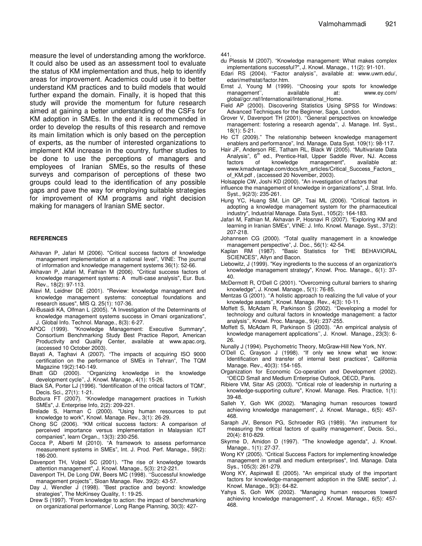measure the level of understanding among the workforce. It could also be used as an assessment tool to evaluate the status of KM implementation and thus, help to identify areas for improvement. Academics could use it to better understand KM practices and to build models that would further expand the domain. Finally, it is hoped that this study will provide the momentum for future research aimed at gaining a better understanding of the CSFs for KM adoption in SMEs. In the end it is recommended in order to develop the results of this research and remove its main limitation which is only based on the perception of experts, as the number of interested organizations to implement KM increase in the country, further studies to be done to use the perceptions of managers and employees of Iranian SMEs, so the results of these surveys and comparison of perceptions of these two groups could lead to the identification of any possible gaps and pave the way for employing suitable strategies for improvement of KM programs and right decision making for managers of Iranian SME sector.

#### **REFERENCES**

- Akhavan P, Jafari M (2006). "Critical success factors of knowledge management implementation at a national level", VINE: The journal of information and knowledge management systems 36(1): 52-66.
- Akhavan P, Jafari M, Fathian M (2006). "Critical success factors of knowledge management systems: A multi-case analysis", Eur. Bus. Rev., 18(2): 97-113.
- Alavi M, Leidner DE (2001). "Review: knowledge management and knowledge management systems: conceptual foundations and research issues", MIS Q. 25(1): 107-36.
- Al-Busaidi KA, Olfman L (2005). "A Investigation of the Determinants of knowledge management systems success in Omani organizations", J. Global Info. Technol. Manage., 8(3): 6-27.
- APQC (1999). "Knowledge Management: Executive Summary", Consortium Benchmarking Study Best Practice Report, American Productivity and Quality Center, available at www.apac.org, (accessed 10 October 2003).
- Bayati A, Taghavi A (2007). "The impacts of acquiring ISO 9000 certification on the performance of SMEs in Tehran", The TQM Magazine 19(2):140-149.
- Bhatt GD (2000). ''Organizing knowledge in the knowledge development cycle'', J. Knowl. Manage., 4(1): 15-26.
- Black SA, Porter LJ (1996). "Identification of the critical factors of TQM", Decis. Sci., 27(1): 1-21.
- Bozbura FT (2007). "Knowledge management practices in Turkish SMEs", J. Enterprise Info, 2(2): 209-221.
- Brelade S, Harman C (2000). "Using human resources to put knowledge to work", Knowl. Manage. Rev., 3(1): 26-29.
- Chong SC (2006). "KM critical success factors: A comparison of perceived importance versus implementation in Malaysian ICT companies", learn Organ., 13(3): 230-256.
- Cocca P, Alberti M (2010). "A framework to assess performance measurement systems in SMEs", Int. J. Prod. Perf. Manage., 59(2): 186-200.
- Davenport TH, Volpel SC (2001). "The rise of knowledge towards attention management", J. Knowl. Manage., 5(3): 212-221.
- Davenport TH, De Long DW, Beers MC (1998). ''Successful knowledge management projects'', Sloan Manage. Rev. 39(2): 43-57.
- Day J, Wendler J (1998). "Best practice and beyond: knowledge strategies", The McKinsey Quality, 1: 19-25.
- Drew S (1997). "From knowledge to action: the impact of benchmarking on organizational performance', Long Range Planning, 30(3): 427-

441.

- du Plessis M (2007). "Knowledge management: What makes complex implementations successful?", J. Knowl. Manage., 11(2): 91-101.
- Edari RS (2004). ''Factor analysis'', available at: www.uwm.edu/, edari/methstat/factor.htm.
- Ernst J, Young M (1999). ''Choosing your spots for knowledge management", available at: www.ey.com/ global/gcr.nsf/International/International\_Home.
- Field AP (2000). Discovering Statistics Using SPSS for Windows: Advanced Techniques for the Beginner, Sage, London.
- Grover V, Davenport TH (2001). ''General perspectives on knowledge management: fostering a research agenda'', J. Manage. Inf. Syst., 18(1): 5-21.
- Ho CT (2009)." The relationship between knowledge management enablers and performance", Ind. Manage. Data Syst. 109(1): 98-117.
- Hair JF, Anderson RE, Tatham RL, Black W (2005). "Multivariate Data Analysis", 6<sup>th</sup> ed., Prentice-Hall, Upper Saddle River, NJ. Access factors of knowledge management", available at: www.kmadvantage.com/docs/km\_articles/Critical\_Success\_Factors of\_KM.pdf , (accessed 20 November, 2003).
- Holsapple CW, Joshi KD (2000). "An investigation of factors that
- influence the management of knowledge in organizations", J. Strat. Info. Syst., 9(2/3): 235-261.
- Hung YC, Huang SM, Lin QP, Tsai ML (2006). "Critical factors in adopting a knowledge management system for the pharmaceutical industry", Industrial Manage. Data Syst., 105(2): 164-183.
- Jafari M, Fathian M, Akhavan P, Hosnavi R (2007). "Exploring KM and learning in Iranian SMEs", VINE: J. Info. Knowl. Manage. Syst., 37(2): 207-218.
- Johannsen CG (2000). "Total quality management in a knowledge management perspective", J. Doc., 56(1): 42-54.
- Kaplan RM (1987). "Basic Statistics for THE BEHAVIORAL SCIENCES", Allyn and Bacon.
- Liebowitz, J (1999). "Key ingredients to the success of an organization's knowledge management strategy", Knowl. Proc. Manage., 6(1): 37- 40.
- McDermott R, O'Dell C (2001). "Overcoming cultural barriers to sharing knowledge", J. Knowl. Manage., 5(1): 76-85.
- Mentzas G (2001). ''A holistic approach to realizing the full value of your knowledge assets'', Knowl. Manage. Rev., 4(3): 10-11.
- Moffett S, McAdam R, Parkinson S (2002). ''Developing a model for technology and cultural factors in knowledge management: a factor analysis'', Knowl. Proc. Manage., 9(4): 237-255.
- Moffett S, McAdam R, Parkinson S (2003). ''An empirical analysis of knowledge management applications'', J. Knowl. Manage., 23(3): 6- 26.
- Nunally J (1994). Psychometric Theory, McGraw-Hill New York, NY.
- O'Dell C, Grayson J (1998). "If only we knew what we know: Identification and transfer of internal best practices", California Manage. Rev., 40(3): 154-165.
- Organization for Economic Co-operation and Development (2002). "OECD Small and Medium Enterprise Outlook, OECD, Paris.
- Ribiere VM, Sitar AS (2003). "Critical role of leadership in nurturing a knowledge-supporting culture", Knowl. Manage. Res. Practice, 1(1): 39-48.
- Salleh Y, Goh WK (2002). "Managing human resources toward achieving knowledge management", J. Knowl. Manage., 6(5): 457- 468.
- Saraph JV, Benson PG, Schroeder RG (1989). "An instrument for measuring the critical factors of quality management', Decis. Sci., 20(4): 810-829.
- Skyrme D, Amidon D (1997). "The knowledge agenda", J. Knowl. Manage., 1(1): 27-37.
- Wong KY (2005). "Critical Success Factors for implementing knowledge management in small and medium enterprises", Ind. Manage. Data Sys., 105(3): 261-279.
- Wong KY, Aspinwall E (2005). "An empirical study of the important factors for knowledge-management adoption in the SME sector", J. Knowl. Manage., 9(3): 64-82.
- Yahya S, Goh WK (2002). "Managing human resources toward achieving knowledge management", J. Knowl. Manage., 6(5): 457- 468.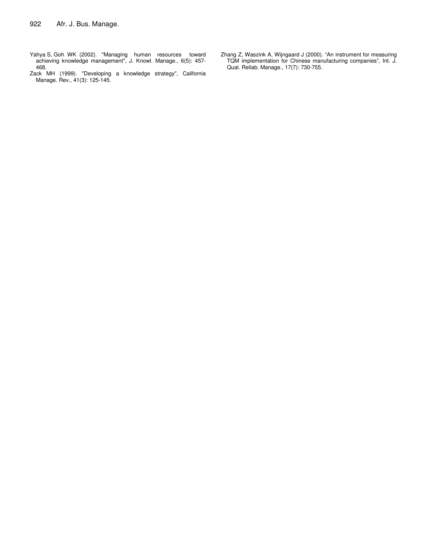- Yahya S, Goh WK (2002). "Managing human resources toward achieving knowledge management", J. Knowl. Manage., 6(5): 457- 468.
- Zack MH (1999). "Developing a knowledge strategy", California Manage. Rev., 41(3): 125-145.
- Zhang Z, Waszink A, Wijngaard J (2000). "An instrument for measuring TQM implementation for Chinese manufacturing companies", Int. J. Qual. Reliab. Manage., 17(7): 730-755.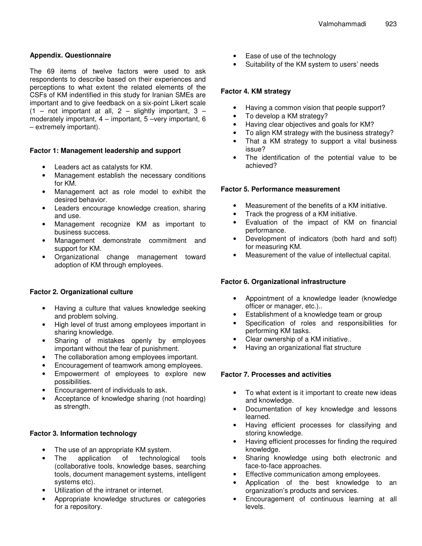# **Appendix. Questionnaire**

The 69 items of twelve factors were used to ask respondents to describe based on their experiences and perceptions to what extent the related elements of the CSFs of KM indentified in this study for Iranian SMEs are important and to give feedback on a six-point Likert scale  $(1 - not important at all, 2 - slightly important, 3$ moderately important, 4 – important, 5 –very important, 6 – extremely important).

## **Factor 1: Management leadership and support**

- Leaders act as catalysts for KM.
- Management establish the necessary conditions for KM.
- Management act as role model to exhibit the desired behavior.
- Leaders encourage knowledge creation, sharing and use.
- Management recognize KM as important to business success.
- Management demonstrate commitment and support for KM.
- Organizational change management toward adoption of KM through employees.

# **Factor 2. Organizational culture**

- Having a culture that values knowledge seeking and problem solving.
- High level of trust among employees important in sharing knowledge.
- Sharing of mistakes openly by employees important without the fear of punishment.
- The collaboration among employees important.
- Encouragement of teamwork among employees.
- Empowerment of employees to explore new possibilities.
- Encouragement of individuals to ask.
- Acceptance of knowledge sharing (not hoarding) as strength.

# **Factor 3. Information technology**

- The use of an appropriate KM system.
- The application of technological tools (collaborative tools, knowledge bases, searching tools, document management systems, intelligent systems etc).
- Utilization of the intranet or internet.
- Appropriate knowledge structures or categories for a repository.
- Ease of use of the technology
- Suitability of the KM system to users' needs

# **Factor 4. KM strategy**

- Having a common vision that people support?
- To develop a KM strategy?
- Having clear objectives and goals for KM?
- To align KM strategy with the business strategy?
- That a KM strategy to support a vital business issue?
- The identification of the potential value to be achieved?

## **Factor 5. Performance measurement**

- Measurement of the benefits of a KM initiative.
- Track the progress of a KM initiative.
- Evaluation of the impact of KM on financial performance.
- Development of indicators (both hard and soft) for measuring KM.
- Measurement of the value of intellectual capital.

# **Factor 6. Organizational infrastructure**

- Appointment of a knowledge leader (knowledge officer or manager, etc.)..
- Establishment of a knowledge team or group
- Specification of roles and responsibilities for performing KM tasks.
- Clear ownership of a KM initiative..
- Having an organizational flat structure

## **Factor 7. Processes and activities**

- To what extent is it important to create new ideas and knowledge.
- Documentation of key knowledge and lessons learned.
- Having efficient processes for classifying and storing knowledge.
- Having efficient processes for finding the required knowledge.
- Sharing knowledge using both electronic and face-to-face approaches.
- Effective communication among employees.
- Application of the best knowledge to an organization's products and services.
- Encouragement of continuous learning at all levels.